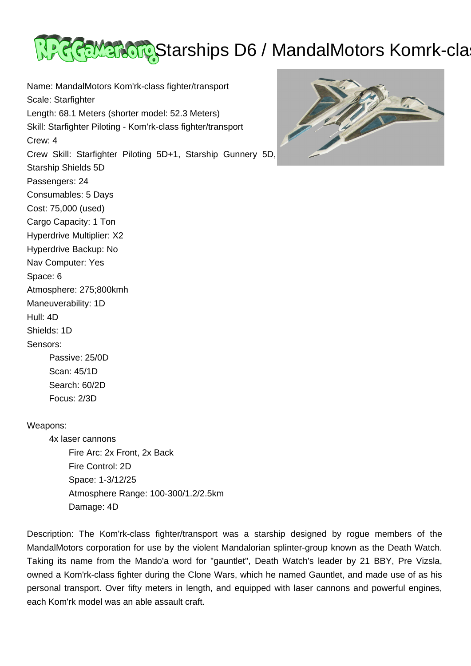

Name: MandalMotors Kom'rk-class fighter/transport Scale: Starfighter Length: 68.1 Meters (shorter model: 52.3 Meters) Skill: Starfighter Piloting - Kom'rk-class fighter/transport Crew: 4 Crew Skill: Starfighter Piloting 5D+1, Starship Gunnery 5D, Starship Shields 5D Passengers: 24 Consumables: 5 Days Cost: 75,000 (used) Cargo Capacity: 1 Ton Hyperdrive Multiplier: X2 Hyperdrive Backup: No Nav Computer: Yes Space: 6 Atmosphere: 275;800kmh Maneuverability: 1D Hull: 4D Shields: 1D Sensors: Passive: 25/0D Scan: 45/1D



## Weapons:

 Search: 60/2D Focus: 2/3D

 4x laser cannons Fire Arc: 2x Front, 2x Back Fire Control: 2D Space: 1-3/12/25 Atmosphere Range: 100-300/1.2/2.5km Damage: 4D

Description: The Kom'rk-class fighter/transport was a starship designed by rogue members of the MandalMotors corporation for use by the violent Mandalorian splinter-group known as the Death Watch. Taking its name from the Mando'a word for "gauntlet", Death Watch's leader by 21 BBY, Pre Vizsla, owned a Kom'rk-class fighter during the Clone Wars, which he named Gauntlet, and made use of as his personal transport. Over fifty meters in length, and equipped with laser cannons and powerful engines, each Kom'rk model was an able assault craft.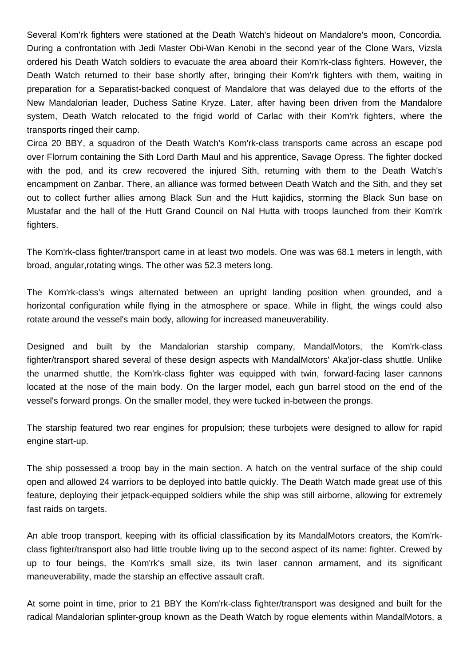Several Kom'rk fighters were stationed at the Death Watch's hideout on Mandalore's moon, Concordia. During a confrontation with Jedi Master Obi-Wan Kenobi in the second year of the Clone Wars, Vizsla ordered his Death Watch soldiers to evacuate the area aboard their Kom'rk-class fighters. However, the Death Watch returned to their base shortly after, bringing their Kom'rk fighters with them, waiting in preparation for a Separatist-backed conquest of Mandalore that was delayed due to the efforts of the New Mandalorian leader, Duchess Satine Kryze. Later, after having been driven from the Mandalore system, Death Watch relocated to the frigid world of Carlac with their Kom'rk fighters, where the transports ringed their camp.

Circa 20 BBY, a squadron of the Death Watch's Kom'rk-class transports came across an escape pod over Florrum containing the Sith Lord Darth Maul and his apprentice, Savage Opress. The fighter docked with the pod, and its crew recovered the injured Sith, returning with them to the Death Watch's encampment on Zanbar. There, an alliance was formed between Death Watch and the Sith, and they set out to collect further allies among Black Sun and the Hutt kajidics, storming the Black Sun base on Mustafar and the hall of the Hutt Grand Council on Nal Hutta with troops launched from their Kom'rk fighters.

The Kom'rk-class fighter/transport came in at least two models. One was was 68.1 meters in length, with broad, angular,rotating wings. The other was 52.3 meters long.

The Kom'rk-class's wings alternated between an upright landing position when grounded, and a horizontal configuration while flying in the atmosphere or space. While in flight, the wings could also rotate around the vessel's main body, allowing for increased maneuverability.

Designed and built by the Mandalorian starship company, MandalMotors, the Kom'rk-class fighter/transport shared several of these design aspects with MandalMotors' Aka'jor-class shuttle. Unlike the unarmed shuttle, the Kom'rk-class fighter was equipped with twin, forward-facing laser cannons located at the nose of the main body. On the larger model, each gun barrel stood on the end of the vessel's forward prongs. On the smaller model, they were tucked in-between the prongs.

The starship featured two rear engines for propulsion; these turbojets were designed to allow for rapid engine start-up.

The ship possessed a troop bay in the main section. A hatch on the ventral surface of the ship could open and allowed 24 warriors to be deployed into battle quickly. The Death Watch made great use of this feature, deploying their jetpack-equipped soldiers while the ship was still airborne, allowing for extremely fast raids on targets.

An able troop transport, keeping with its official classification by its MandalMotors creators, the Kom'rkclass fighter/transport also had little trouble living up to the second aspect of its name: fighter. Crewed by up to four beings, the Kom'rk's small size, its twin laser cannon armament, and its significant maneuverability, made the starship an effective assault craft.

At some point in time, prior to 21 BBY the Kom'rk-class fighter/transport was designed and built for the radical Mandalorian splinter-group known as the Death Watch by rogue elements within MandalMotors, a